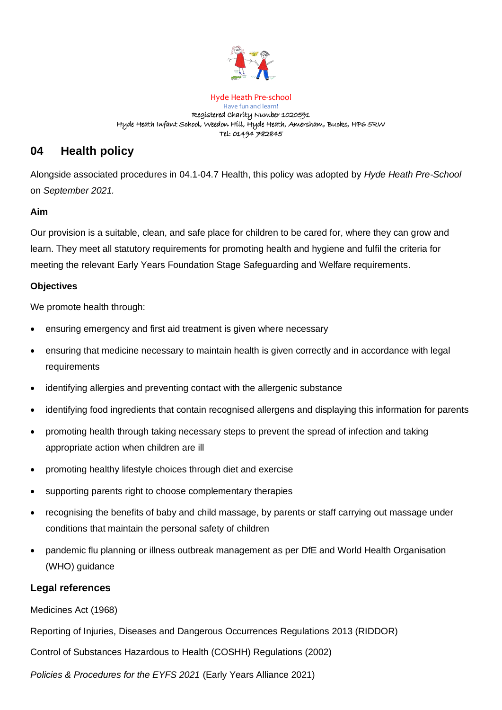

#### Hyde Heath Pre-school Have fun and learn! Registered Charity Number 1020591 Hyde Heath Infant School, Weedon Hill, Hyde Heath, Amersham, Bucks, HP6 5RW Tel: 01494 782845

# **04 Health policy**

Alongside associated procedures in 04.1-04.7 Health, this policy was adopted by *Hyde Heath Pre-School* on *September 2021.* 

#### **Aim**

Our provision is a suitable, clean, and safe place for children to be cared for, where they can grow and learn. They meet all statutory requirements for promoting health and hygiene and fulfil the criteria for meeting the relevant Early Years Foundation Stage Safeguarding and Welfare requirements.

### **Objectives**

We promote health through:

- ensuring emergency and first aid treatment is given where necessary
- ensuring that medicine necessary to maintain health is given correctly and in accordance with legal requirements
- identifying allergies and preventing contact with the allergenic substance
- identifying food ingredients that contain recognised allergens and displaying this information for parents
- promoting health through taking necessary steps to prevent the spread of infection and taking appropriate action when children are ill
- promoting healthy lifestyle choices through diet and exercise
- supporting parents right to choose complementary therapies
- recognising the benefits of baby and child massage, by parents or staff carrying out massage under conditions that maintain the personal safety of children
- pandemic flu planning or illness outbreak management as per DfE and World Health Organisation (WHO) guidance

## **Legal references**

Medicines Act (1968)

Reporting of Injuries, Diseases and Dangerous Occurrences Regulations 2013 (RIDDOR)

Control of Substances Hazardous to Health (COSHH) Regulations (2002)

*Policies & Procedures for the EYFS 2021* (Early Years Alliance 2021)